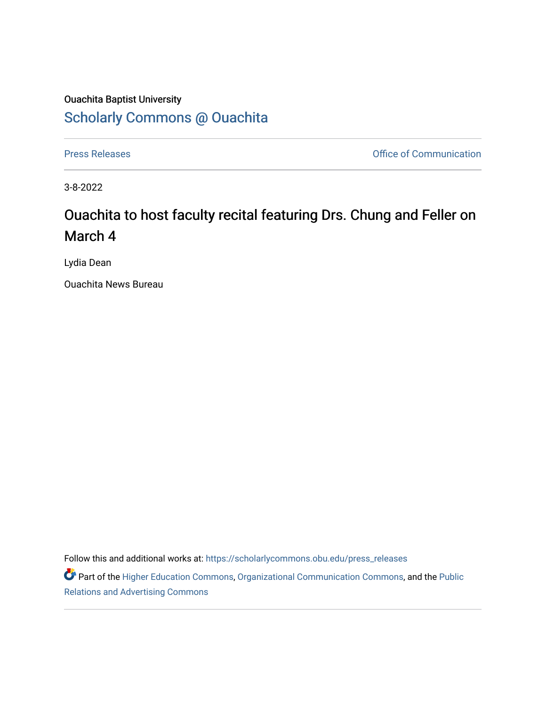## Ouachita Baptist University [Scholarly Commons @ Ouachita](https://scholarlycommons.obu.edu/)

[Press Releases](https://scholarlycommons.obu.edu/press_releases) **Press Releases Communication** 

3-8-2022

## Ouachita to host faculty recital featuring Drs. Chung and Feller on March 4

Lydia Dean

Ouachita News Bureau

Follow this and additional works at: [https://scholarlycommons.obu.edu/press\\_releases](https://scholarlycommons.obu.edu/press_releases?utm_source=scholarlycommons.obu.edu%2Fpress_releases%2F1067&utm_medium=PDF&utm_campaign=PDFCoverPages)

Part of the [Higher Education Commons,](http://network.bepress.com/hgg/discipline/1245?utm_source=scholarlycommons.obu.edu%2Fpress_releases%2F1067&utm_medium=PDF&utm_campaign=PDFCoverPages) [Organizational Communication Commons,](http://network.bepress.com/hgg/discipline/335?utm_source=scholarlycommons.obu.edu%2Fpress_releases%2F1067&utm_medium=PDF&utm_campaign=PDFCoverPages) and the [Public](http://network.bepress.com/hgg/discipline/336?utm_source=scholarlycommons.obu.edu%2Fpress_releases%2F1067&utm_medium=PDF&utm_campaign=PDFCoverPages) [Relations and Advertising Commons](http://network.bepress.com/hgg/discipline/336?utm_source=scholarlycommons.obu.edu%2Fpress_releases%2F1067&utm_medium=PDF&utm_campaign=PDFCoverPages)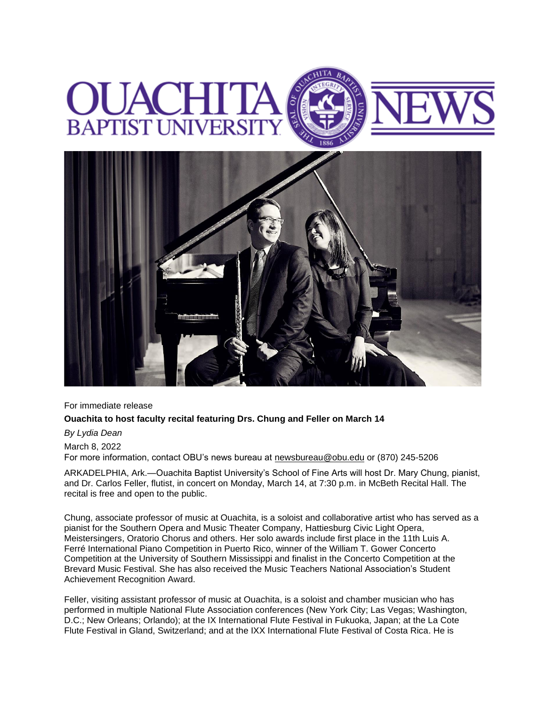## **BAPTIST UNIVERSI**



For immediate release

## **Ouachita to host faculty recital featuring Drs. Chung and Feller on March 14**

*By Lydia Dean*

March 8, 2022

For more information, contact OBU's news bureau at [newsbureau@obu.edu](mailto:newsbureau@obu.edu) or (870) 245-5206

ARKADELPHIA, Ark.—Ouachita Baptist University's School of Fine Arts will host Dr. Mary Chung, pianist, and Dr. Carlos Feller, flutist, in concert on Monday, March 14, at 7:30 p.m. in McBeth Recital Hall. The recital is free and open to the public.

Chung, associate professor of music at Ouachita, is a soloist and collaborative artist who has served as a pianist for the Southern Opera and Music Theater Company, Hattiesburg Civic Light Opera, Meistersingers, Oratorio Chorus and others. Her solo awards include first place in the 11th Luis A. Ferré International Piano Competition in Puerto Rico, winner of the William T. Gower Concerto Competition at the University of Southern Mississippi and finalist in the Concerto Competition at the Brevard Music Festival. She has also received the Music Teachers National Association's Student Achievement Recognition Award.

Feller, visiting assistant professor of music at Ouachita, is a soloist and chamber musician who has performed in multiple National Flute Association conferences (New York City; Las Vegas; Washington, D.C.; New Orleans; Orlando); at the IX International Flute Festival in Fukuoka, Japan; at the La Cote Flute Festival in Gland, Switzerland; and at the IXX International Flute Festival of Costa Rica. He is